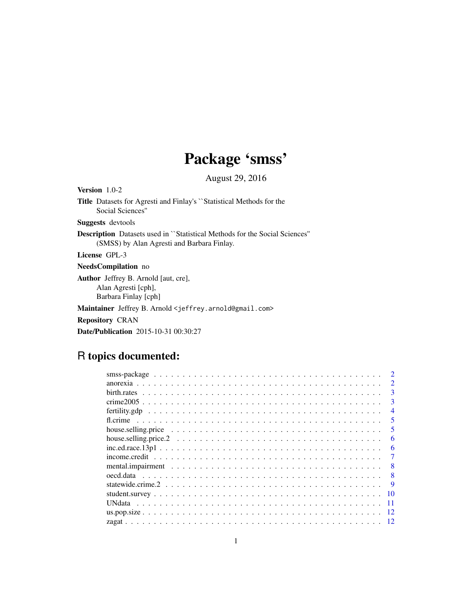# Package 'smss'

August 29, 2016

Version 1.0-2 Title Datasets for Agresti and Finlay's ``Statistical Methods for the Social Sciences'' Suggests devtools Description Datasets used in ``Statistical Methods for the Social Sciences'' (SMSS) by Alan Agresti and Barbara Finlay. License GPL-3 NeedsCompilation no Author Jeffrey B. Arnold [aut, cre], Alan Agresti [cph], Barbara Finlay [cph] Maintainer Jeffrey B. Arnold <jeffrey.arnold@gmail.com>

Repository CRAN

Date/Publication 2015-10-31 00:30:27

# R topics documented:

|                                                                                                                  | $\mathcal{D}$               |
|------------------------------------------------------------------------------------------------------------------|-----------------------------|
|                                                                                                                  | $\mathcal{D}_{\mathcal{L}}$ |
|                                                                                                                  | 3                           |
|                                                                                                                  | 3                           |
|                                                                                                                  | $\overline{4}$              |
|                                                                                                                  | 5                           |
|                                                                                                                  |                             |
|                                                                                                                  | 6                           |
|                                                                                                                  | 6                           |
| $income. credit \dots \dots \dots \dots \dots \dots \dots \dots \dots \dots \dots \dots \dots \dots \dots \dots$ |                             |
|                                                                                                                  | 8                           |
|                                                                                                                  | 8                           |
|                                                                                                                  | 9                           |
|                                                                                                                  | 10                          |
|                                                                                                                  |                             |
|                                                                                                                  | 12                          |
|                                                                                                                  |                             |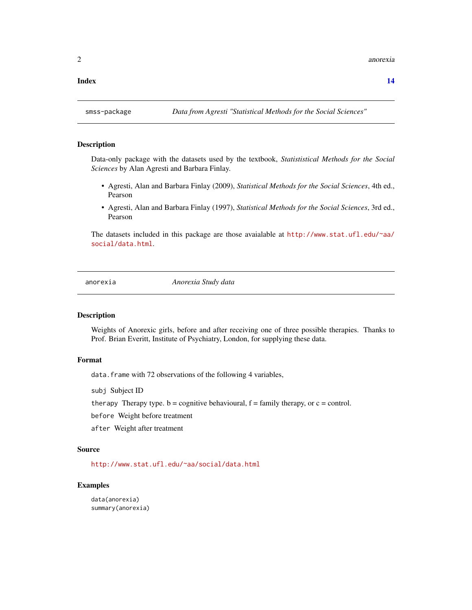<span id="page-1-0"></span>2 anorexia anorexia anorexia anorexia anorexia anorexia anorexia anorexia anorexia anorexia anorexia anorexia a

#### **Index** 2008 **[14](#page-13-0)**

# Description

Data-only package with the datasets used by the textbook, *Statististical Methods for the Social Sciences* by Alan Agresti and Barbara Finlay.

- Agresti, Alan and Barbara Finlay (2009), *Statistical Methods for the Social Sciences*, 4th ed., Pearson
- Agresti, Alan and Barbara Finlay (1997), *Statistical Methods for the Social Sciences*, 3rd ed., Pearson

The datasets included in this package are those avaialable at [http://www.stat.ufl.edu/~aa/](http://www.stat.ufl.edu/~aa/social/data.html) [social/data.html](http://www.stat.ufl.edu/~aa/social/data.html).

anorexia *Anorexia Study data*

#### Description

Weights of Anorexic girls, before and after receiving one of three possible therapies. Thanks to Prof. Brian Everitt, Institute of Psychiatry, London, for supplying these data.

# Format

data. frame with 72 observations of the following 4 variables,

subj Subject ID

therapy Therapy type.  $b =$  cognitive behavioural,  $f =$  family therapy, or  $c =$  control.

before Weight before treatment

after Weight after treatment

# Source

<http://www.stat.ufl.edu/~aa/social/data.html>

#### Examples

data(anorexia) summary(anorexia)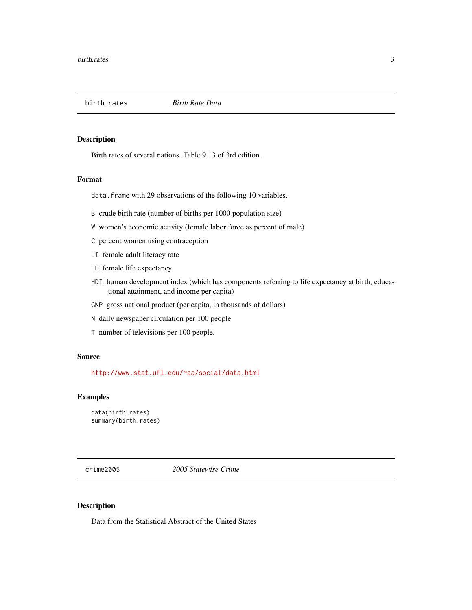<span id="page-2-0"></span>

Birth rates of several nations. Table 9.13 of 3rd edition.

#### Format

data. frame with 29 observations of the following 10 variables,

- B crude birth rate (number of births per 1000 population size)
- W women's economic activity (female labor force as percent of male)
- C percent women using contraception
- LI female adult literacy rate
- LE female life expectancy
- HDI human development index (which has components referring to life expectancy at birth, educational attainment, and income per capita)
- GNP gross national product (per capita, in thousands of dollars)
- N daily newspaper circulation per 100 people
- T number of televisions per 100 people.

# Source

<http://www.stat.ufl.edu/~aa/social/data.html>

#### Examples

```
data(birth.rates)
summary(birth.rates)
```
crime2005 *2005 Statewise Crime*

#### Description

Data from the Statistical Abstract of the United States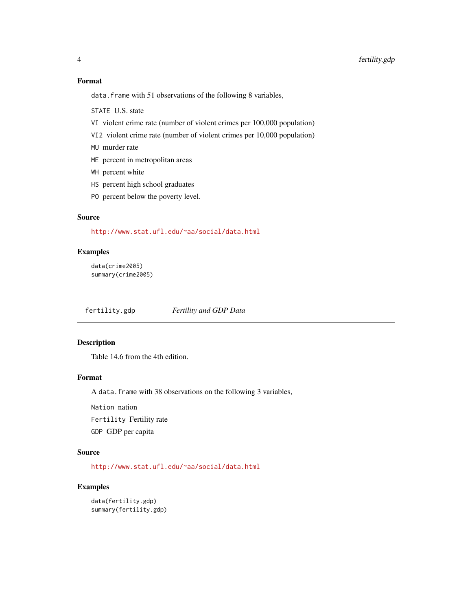# <span id="page-3-0"></span>Format

data. frame with 51 observations of the following 8 variables,

STATE U.S. state

- VI violent crime rate (number of violent crimes per 100,000 population)
- VI2 violent crime rate (number of violent crimes per 10,000 population)
- MU murder rate
- ME percent in metropolitan areas
- WH percent white
- HS percent high school graduates
- PO percent below the poverty level.

# Source

<http://www.stat.ufl.edu/~aa/social/data.html>

#### Examples

```
data(crime2005)
summary(crime2005)
```
fertility.gdp *Fertility and GDP Data*

# Description

Table 14.6 from the 4th edition.

# Format

A data.frame with 38 observations on the following 3 variables,

Nation nation

Fertility Fertility rate

GDP GDP per capita

### Source

<http://www.stat.ufl.edu/~aa/social/data.html>

# Examples

data(fertility.gdp) summary(fertility.gdp)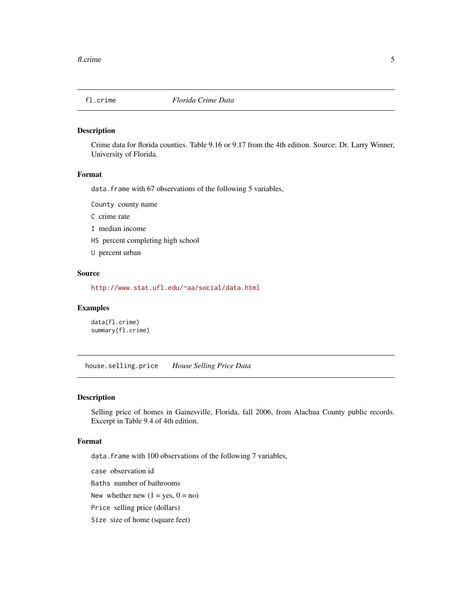<span id="page-4-0"></span>

Crime data for florida counties. Table 9.16 or 9.17 from the 4th edition. Source: Dr. Larry Winner, University of Florida.

### Format

data. frame with 67 observations of the following 5 variables,

County county name

C crime rate

I median income

HS percent completing high school

U percent urban

#### Source

<http://www.stat.ufl.edu/~aa/social/data.html>

#### Examples

data(fl.crime) summary(fl.crime)

house.selling.price *House Selling Price Data*

#### Description

Selling price of homes in Gainesville, Florida, fall 2006, from Alachua County public records. Excerpt in Table 9.4 of 4th edition.

### Format

data.frame with 100 observations of the following 7 variables,

case observation id

Baths number of bathrooms

New whether new  $(1 = yes, 0 = no)$ 

Price selling price (dollars)

Size size of home (square feet)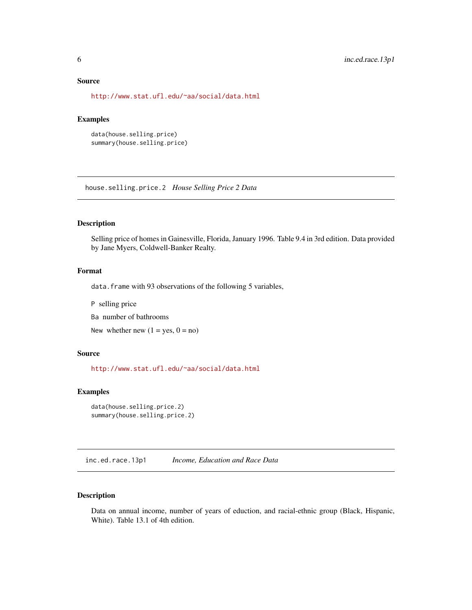#### <span id="page-5-0"></span>Source

<http://www.stat.ufl.edu/~aa/social/data.html>

# Examples

```
data(house.selling.price)
summary(house.selling.price)
```
house.selling.price.2 *House Selling Price 2 Data*

### Description

Selling price of homes in Gainesville, Florida, January 1996. Table 9.4 in 3rd edition. Data provided by Jane Myers, Coldwell-Banker Realty.

# Format

data. frame with 93 observations of the following 5 variables,

P selling price

Ba number of bathrooms

New whether new  $(1 = yes, 0 = no)$ 

#### Source

<http://www.stat.ufl.edu/~aa/social/data.html>

#### Examples

```
data(house.selling.price.2)
summary(house.selling.price.2)
```
inc.ed.race.13p1 *Income, Education and Race Data*

# Description

Data on annual income, number of years of eduction, and racial-ethnic group (Black, Hispanic, White). Table 13.1 of 4th edition.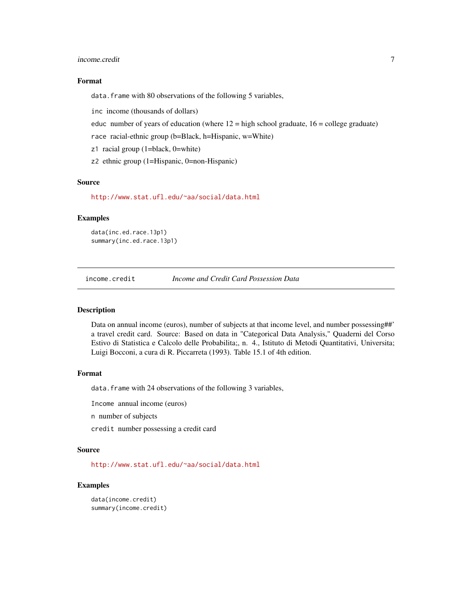#### <span id="page-6-0"></span>income.credit 7

#### Format

data. frame with 80 observations of the following 5 variables,

inc income (thousands of dollars)

educ number of years of education (where  $12 =$  high school graduate,  $16 =$  college graduate)

race racial-ethnic group (b=Black, h=Hispanic, w=White)

z1 racial group (1=black, 0=white)

z2 ethnic group (1=Hispanic, 0=non-Hispanic)

#### Source

<http://www.stat.ufl.edu/~aa/social/data.html>

#### Examples

data(inc.ed.race.13p1) summary(inc.ed.race.13p1)

income.credit *Income and Credit Card Possession Data*

#### Description

Data on annual income (euros), number of subjects at that income level, and number possessing##' a travel credit card. Source: Based on data in "Categorical Data Analysis," Quaderni del Corso Estivo di Statistica e Calcolo delle Probabilita;, n. 4., Istituto di Metodi Quantitativi, Universita; Luigi Bocconi, a cura di R. Piccarreta (1993). Table 15.1 of 4th edition.

#### Format

data. frame with 24 observations of the following 3 variables,

Income annual income (euros)

n number of subjects

credit number possessing a credit card

#### Source

<http://www.stat.ufl.edu/~aa/social/data.html>

#### Examples

data(income.credit) summary(income.credit)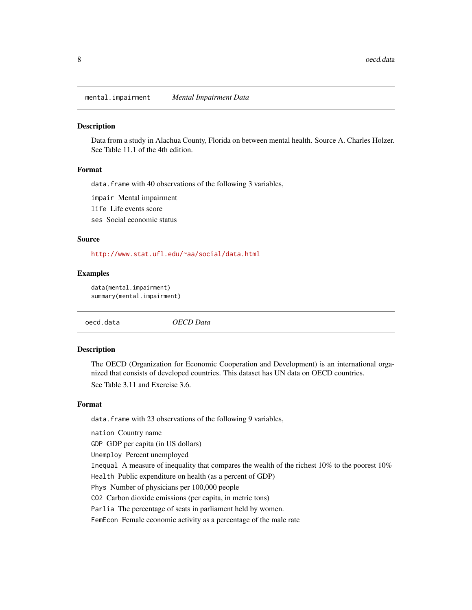<span id="page-7-0"></span>mental.impairment *Mental Impairment Data*

### Description

Data from a study in Alachua County, Florida on between mental health. Source A. Charles Holzer. See Table 11.1 of the 4th edition.

# Format

data. frame with 40 observations of the following 3 variables,

impair Mental impairment

life Life events score

ses Social economic status

#### Source

<http://www.stat.ufl.edu/~aa/social/data.html>

#### Examples

```
data(mental.impairment)
summary(mental.impairment)
```
oecd.data *OECD Data*

#### Description

The OECD (Organization for Economic Cooperation and Development) is an international organized that consists of developed countries. This dataset has UN data on OECD countries. See Table 3.11 and Exercise 3.6.

#### Format

data. frame with 23 observations of the following 9 variables,

nation Country name

GDP GDP per capita (in US dollars)

Unemploy Percent unemployed

Inequal A measure of inequality that compares the wealth of the richest 10% to the poorest 10%

Health Public expenditure on health (as a percent of GDP)

Phys Number of physicians per 100,000 people

CO2 Carbon dioxide emissions (per capita, in metric tons)

Parlia The percentage of seats in parliament held by women.

FemEcon Female economic activity as a percentage of the male rate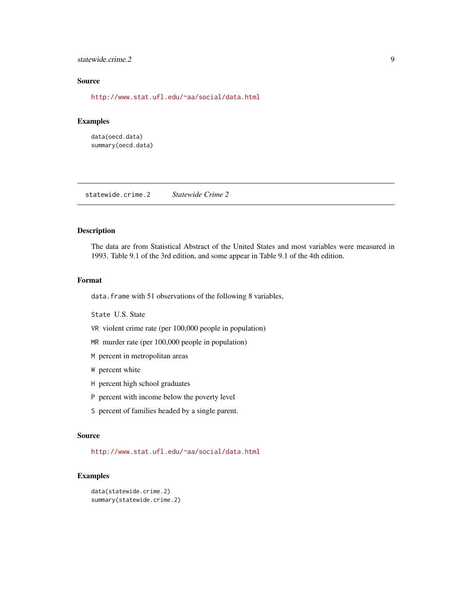#### <span id="page-8-0"></span>statewide.crime.2 9

# Source

<http://www.stat.ufl.edu/~aa/social/data.html>

# Examples

data(oecd.data) summary(oecd.data)

statewide.crime.2 *Statewide Crime 2*

#### Description

The data are from Statistical Abstract of the United States and most variables were measured in 1993. Table 9.1 of the 3rd edition, and some appear in Table 9.1 of the 4th edition.

#### Format

data. frame with 51 observations of the following 8 variables,

State U.S. State

- VR violent crime rate (per 100,000 people in population)
- MR murder rate (per 100,000 people in population)
- M percent in metropolitan areas
- W percent white
- H percent high school graduates
- P percent with income below the poverty level
- S percent of families headed by a single parent.

#### Source

<http://www.stat.ufl.edu/~aa/social/data.html>

# Examples

```
data(statewide.crime.2)
summary(statewide.crime.2)
```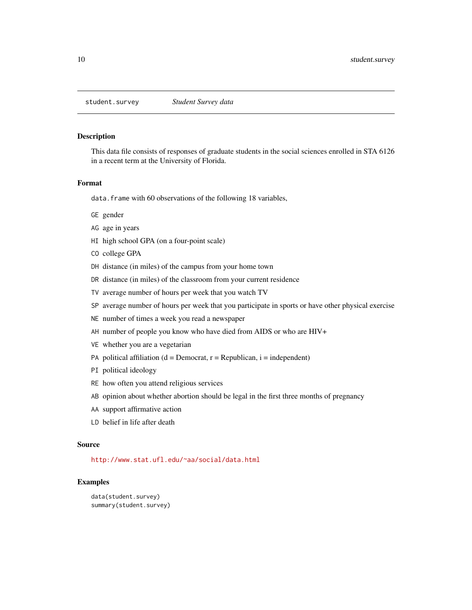<span id="page-9-0"></span>

This data file consists of responses of graduate students in the social sciences enrolled in STA 6126 in a recent term at the University of Florida.

#### Format

data. frame with 60 observations of the following 18 variables,

- GE gender
- AG age in years
- HI high school GPA (on a four-point scale)
- CO college GPA
- DH distance (in miles) of the campus from your home town
- DR distance (in miles) of the classroom from your current residence
- TV average number of hours per week that you watch TV
- SP average number of hours per week that you participate in sports or have other physical exercise
- NE number of times a week you read a newspaper
- AH number of people you know who have died from AIDS or who are HIV+
- VE whether you are a vegetarian
- PA political affiliation ( $d =$ Democrat,  $r =$ Republican,  $i =$ independent)
- PI political ideology
- RE how often you attend religious services
- AB opinion about whether abortion should be legal in the first three months of pregnancy
- AA support affirmative action
- LD belief in life after death

#### Source

<http://www.stat.ufl.edu/~aa/social/data.html>

# Examples

```
data(student.survey)
summary(student.survey)
```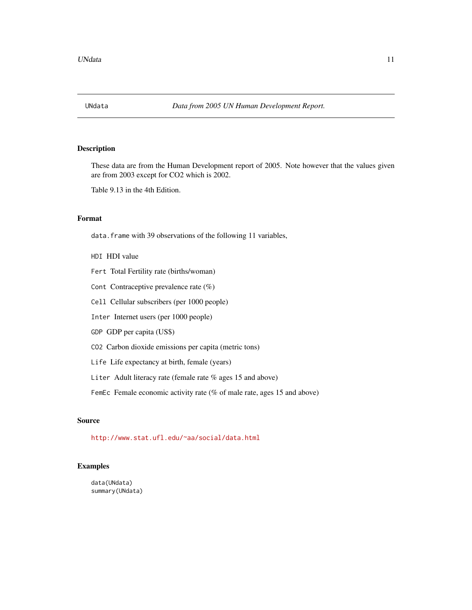<span id="page-10-0"></span>

These data are from the Human Development report of 2005. Note however that the values given are from 2003 except for CO2 which is 2002.

Table 9.13 in the 4th Edition.

# Format

data.frame with 39 observations of the following 11 variables,

- HDI HDI value
- Fert Total Fertility rate (births/woman)
- Cont Contraceptive prevalence rate (%)
- Cell Cellular subscribers (per 1000 people)
- Inter Internet users (per 1000 people)
- GDP GDP per capita (US\$)
- CO2 Carbon dioxide emissions per capita (metric tons)
- Life Life expectancy at birth, female (years)
- Liter Adult literacy rate (female rate % ages 15 and above)

FemEc Female economic activity rate (% of male rate, ages 15 and above)

#### Source

<http://www.stat.ufl.edu/~aa/social/data.html>

# Examples

data(UNdata) summary(UNdata)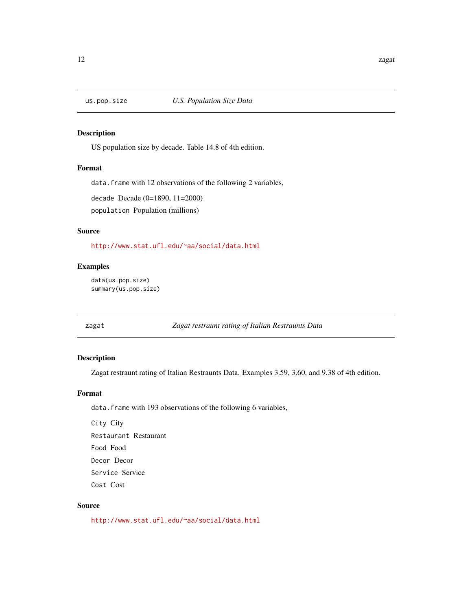<span id="page-11-0"></span>

US population size by decade. Table 14.8 of 4th edition.

#### Format

data. frame with 12 observations of the following 2 variables,

decade Decade (0=1890, 11=2000)

population Population (millions)

#### Source

<http://www.stat.ufl.edu/~aa/social/data.html>

### Examples

```
data(us.pop.size)
summary(us.pop.size)
```
zagat *Zagat restraunt rating of Italian Restraunts Data*

# Description

Zagat restraunt rating of Italian Restraunts Data. Examples 3.59, 3.60, and 9.38 of 4th edition.

# Format

data. frame with 193 observations of the following 6 variables,

City City Restaurant Restaurant Food Food Decor Decor Service Service Cost Cost

#### Source

<http://www.stat.ufl.edu/~aa/social/data.html>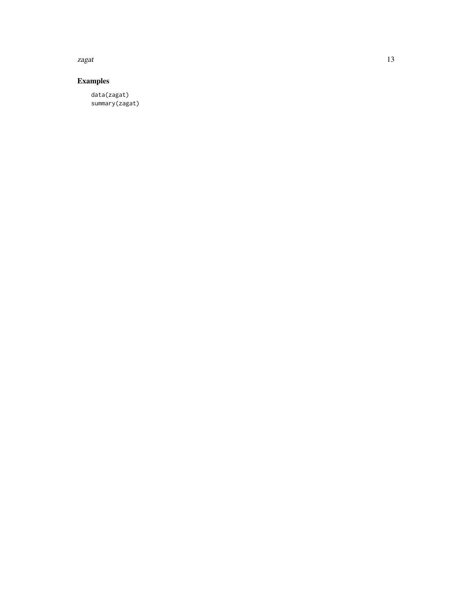zagat tidak di sebagai kecamatan di sebagai kecamatan di sebagai kecamatan di sebagai kecamatan di sebagai kec

# Examples

data(zagat) summary(zagat)